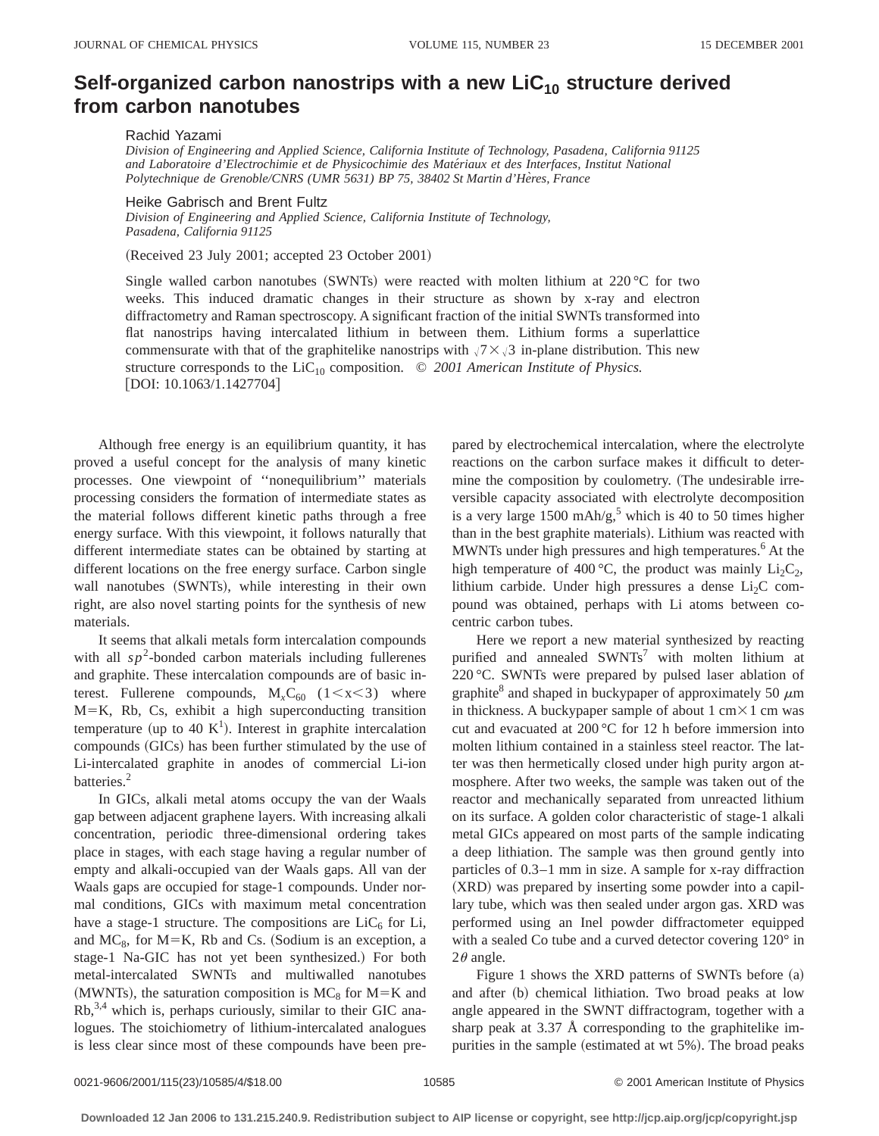## Self-organized carbon nanostrips with a new LiC<sub>10</sub> structure derived **from carbon nanotubes**

Rachid Yazami

*Division of Engineering and Applied Science, California Institute of Technology, Pasadena, California 91125 and Laboratoire d'Electrochimie et de Physicochimie des Mate´riaux et des Interfaces, Institut National* Polytechnique de Grenoble/CNRS (UMR 5631) BP 75, 38402 St Martin d'Hères, France

Heike Gabrisch and Brent Fultz

*Division of Engineering and Applied Science, California Institute of Technology, Pasadena, California 91125*

(Received 23 July 2001; accepted 23 October 2001)

Single walled carbon nanotubes (SWNTs) were reacted with molten lithium at 220 °C for two weeks. This induced dramatic changes in their structure as shown by x-ray and electron diffractometry and Raman spectroscopy. A significant fraction of the initial SWNTs transformed into flat nanostrips having intercalated lithium in between them. Lithium forms a superlattice commensurate with that of the graphitelike nanostrips with  $\sqrt{7} \times \sqrt{3}$  in-plane distribution. This new structure corresponds to the  $\text{LiC}_{10}$  composition.  $\odot$  2001 American Institute of Physics.  $[DOI: 10.1063/1.1427704]$ 

Although free energy is an equilibrium quantity, it has proved a useful concept for the analysis of many kinetic processes. One viewpoint of ''nonequilibrium'' materials processing considers the formation of intermediate states as the material follows different kinetic paths through a free energy surface. With this viewpoint, it follows naturally that different intermediate states can be obtained by starting at different locations on the free energy surface. Carbon single wall nanotubes (SWNTs), while interesting in their own right, are also novel starting points for the synthesis of new materials.

It seems that alkali metals form intercalation compounds with all  $sp^2$ -bonded carbon materials including fullerenes and graphite. These intercalation compounds are of basic interest. Fullerene compounds,  $M_xC_{60}$  (1 < x < 3) where  $M=K$ , Rb, Cs, exhibit a high superconducting transition temperature (up to 40 K<sup>1</sup>). Interest in graphite intercalation compounds (GICs) has been further stimulated by the use of Li-intercalated graphite in anodes of commercial Li-ion batteries.<sup>2</sup>

In GICs, alkali metal atoms occupy the van der Waals gap between adjacent graphene layers. With increasing alkali concentration, periodic three-dimensional ordering takes place in stages, with each stage having a regular number of empty and alkali-occupied van der Waals gaps. All van der Waals gaps are occupied for stage-1 compounds. Under normal conditions, GICs with maximum metal concentration have a stage-1 structure. The compositions are  $LiC_6$  for Li, and  $MC_8$ , for  $M=K$ , Rb and Cs. (Sodium is an exception, a stage-1 Na-GIC has not yet been synthesized.) For both metal-intercalated SWNTs and multiwalled nanotubes (MWNTs), the saturation composition is  $MC_8$  for  $M=K$  and Rb,3,4 which is, perhaps curiously, similar to their GIC analogues. The stoichiometry of lithium-intercalated analogues is less clear since most of these compounds have been prepared by electrochemical intercalation, where the electrolyte reactions on the carbon surface makes it difficult to determine the composition by coulometry. (The undesirable irreversible capacity associated with electrolyte decomposition is a very large  $1500 \text{ mA/h/g}$ ,<sup>5</sup> which is 40 to 50 times higher than in the best graphite materials). Lithium was reacted with MWNTs under high pressures and high temperatures.<sup>6</sup> At the high temperature of 400 °C, the product was mainly  $Li_2C_2$ , lithium carbide. Under high pressures a dense  $Li<sub>2</sub>C$  compound was obtained, perhaps with Li atoms between cocentric carbon tubes.

Here we report a new material synthesized by reacting purified and annealed  $\text{SWNTs}^7$  with molten lithium at 220 °C. SWNTs were prepared by pulsed laser ablation of graphite<sup>8</sup> and shaped in buckypaper of approximately 50  $\mu$ m in thickness. A buckypaper sample of about  $1 \text{ cm} \times 1 \text{ cm}$  was cut and evacuated at 200 °C for 12 h before immersion into molten lithium contained in a stainless steel reactor. The latter was then hermetically closed under high purity argon atmosphere. After two weeks, the sample was taken out of the reactor and mechanically separated from unreacted lithium on its surface. A golden color characteristic of stage-1 alkali metal GICs appeared on most parts of the sample indicating a deep lithiation. The sample was then ground gently into particles of 0.3–1 mm in size. A sample for x-ray diffraction (XRD) was prepared by inserting some powder into a capillary tube, which was then sealed under argon gas. XRD was performed using an Inel powder diffractometer equipped with a sealed Co tube and a curved detector covering 120° in  $2\theta$  angle.

Figure 1 shows the XRD patterns of SWNTs before  $(a)$ and after (b) chemical lithiation. Two broad peaks at low angle appeared in the SWNT diffractogram, together with a sharp peak at 3.37 Å corresponding to the graphitelike impurities in the sample (estimated at wt 5%). The broad peaks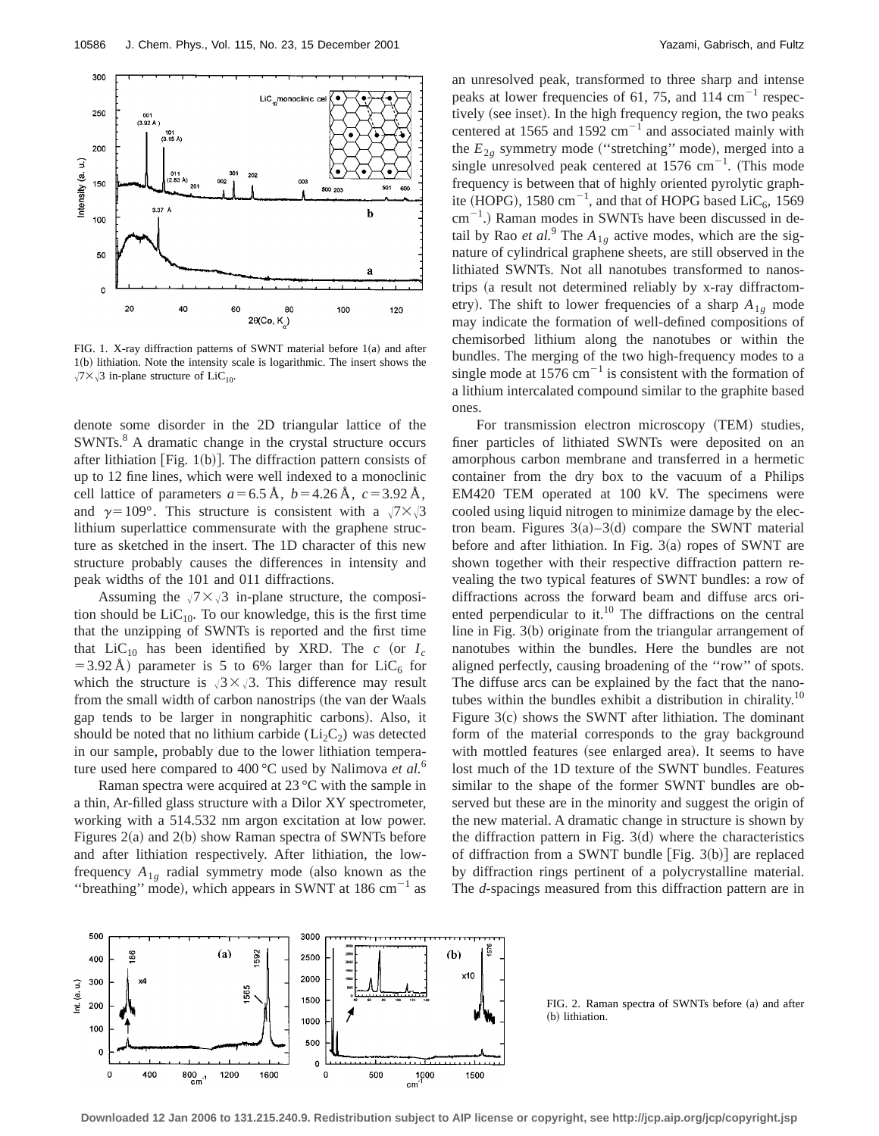

FIG. 1. X-ray diffraction patterns of SWNT material before  $1(a)$  and after 1(b) lithiation. Note the intensity scale is logarithmic. The insert shows the  $\sqrt{7} \times \sqrt{3}$  in-plane structure of LiC<sub>10</sub>.

denote some disorder in the 2D triangular lattice of the SWNTs.<sup>8</sup> A dramatic change in the crystal structure occurs after lithiation [Fig. 1(b)]. The diffraction pattern consists of up to 12 fine lines, which were well indexed to a monoclinic cell lattice of parameters  $a=6.5 \text{ Å}$ ,  $b=4.26 \text{ Å}$ ,  $c=3.92 \text{ Å}$ , and  $\gamma=109^\circ$ . This structure is consistent with a  $\sqrt{7}\times\sqrt{3}$ lithium superlattice commensurate with the graphene structure as sketched in the insert. The 1D character of this new structure probably causes the differences in intensity and peak widths of the 101 and 011 diffractions.

Assuming the  $\sqrt{7} \times \sqrt{3}$  in-plane structure, the composition should be  $LiC_{10}$ . To our knowledge, this is the first time that the unzipping of SWNTs is reported and the first time that LiC<sub>10</sub> has been identified by XRD. The *c* (or  $I_c$ =3.92 Å) parameter is 5 to 6% larger than for  $LiC_6$  for which the structure is  $\sqrt{3} \times \sqrt{3}$ . This difference may result from the small width of carbon nanostrips (the van der Waals gap tends to be larger in nongraphitic carbons). Also, it should be noted that no lithium carbide  $(Li_2C_2)$  was detected in our sample, probably due to the lower lithiation temperature used here compared to 400 °C used by Nalimova *et al.*<sup>6</sup>

Raman spectra were acquired at 23 °C with the sample in a thin, Ar-filled glass structure with a Dilor XY spectrometer, working with a 514.532 nm argon excitation at low power. Figures  $2(a)$  and  $2(b)$  show Raman spectra of SWNTs before and after lithiation respectively. After lithiation, the lowfrequency  $A_{1g}$  radial symmetry mode (also known as the "breathing" mode), which appears in SWNT at  $186 \text{ cm}^{-1}$  as an unresolved peak, transformed to three sharp and intense peaks at lower frequencies of 61, 75, and 114  $\text{cm}^{-1}$  respectively (see inset). In the high frequency region, the two peaks centered at 1565 and 1592  $\text{cm}^{-1}$  and associated mainly with the  $E_{2g}$  symmetry mode ("stretching" mode), merged into a single unresolved peak centered at  $1576 \text{ cm}^{-1}$ . (This mode frequency is between that of highly oriented pyrolytic graphite (HOPG), 1580 cm<sup>-1</sup>, and that of HOPG based  $\text{LiC}_6$ , 1569  $\text{cm}^{-1}$ .) Raman modes in SWNTs have been discussed in detail by Rao *et al.*<sup>9</sup> The  $A_{1g}$  active modes, which are the signature of cylindrical graphene sheets, are still observed in the lithiated SWNTs. Not all nanotubes transformed to nanostrips (a result not determined reliably by x-ray diffractometry). The shift to lower frequencies of a sharp  $A_{1g}$  mode may indicate the formation of well-defined compositions of chemisorbed lithium along the nanotubes or within the bundles. The merging of the two high-frequency modes to a single mode at  $1576 \text{ cm}^{-1}$  is consistent with the formation of a lithium intercalated compound similar to the graphite based ones.

For transmission electron microscopy (TEM) studies, finer particles of lithiated SWNTs were deposited on an amorphous carbon membrane and transferred in a hermetic container from the dry box to the vacuum of a Philips EM420 TEM operated at 100 kV. The specimens were cooled using liquid nitrogen to minimize damage by the electron beam. Figures  $3(a) - 3(d)$  compare the SWNT material before and after lithiation. In Fig.  $3(a)$  ropes of SWNT are shown together with their respective diffraction pattern revealing the two typical features of SWNT bundles: a row of diffractions across the forward beam and diffuse arcs oriented perpendicular to it.<sup>10</sup> The diffractions on the central line in Fig.  $3(b)$  originate from the triangular arrangement of nanotubes within the bundles. Here the bundles are not aligned perfectly, causing broadening of the ''row'' of spots. The diffuse arcs can be explained by the fact that the nanotubes within the bundles exhibit a distribution in chirality.<sup>10</sup> Figure  $3(c)$  shows the SWNT after lithiation. The dominant form of the material corresponds to the gray background with mottled features (see enlarged area). It seems to have lost much of the 1D texture of the SWNT bundles. Features similar to the shape of the former SWNT bundles are observed but these are in the minority and suggest the origin of the new material. A dramatic change in structure is shown by the diffraction pattern in Fig.  $3(d)$  where the characteristics of diffraction from a SWNT bundle  $|Fig. 3(b)|$  are replaced by diffraction rings pertinent of a polycrystalline material. The *d*-spacings measured from this diffraction pattern are in



FIG. 2. Raman spectra of SWNTs before (a) and after (b) lithiation.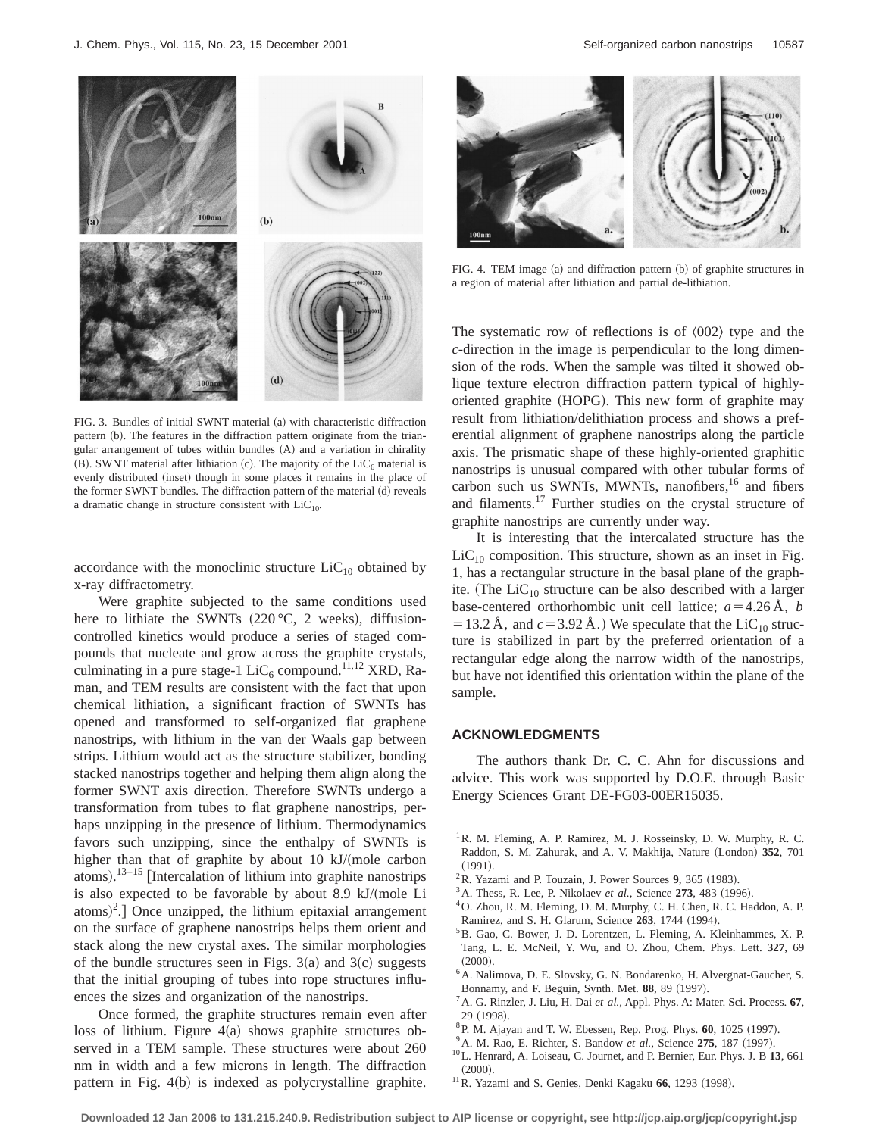

FIG. 3. Bundles of initial SWNT material (a) with characteristic diffraction pattern (b). The features in the diffraction pattern originate from the triangular arrangement of tubes within bundles  $(A)$  and a variation in chirality (B). SWNT material after lithiation (c). The majority of the  $LiC_6$  material is evenly distributed (inset) though in some places it remains in the place of the former SWNT bundles. The diffraction pattern of the material (d) reveals a dramatic change in structure consistent with  $LiC_{10}$ .

accordance with the monoclinic structure  $LiC_{10}$  obtained by x-ray diffractometry.

Were graphite subjected to the same conditions used here to lithiate the SWNTs  $(220 °C, 2$  weeks), diffusioncontrolled kinetics would produce a series of staged compounds that nucleate and grow across the graphite crystals, culminating in a pure stage-1 LiC<sub>6</sub> compound.<sup>11,12</sup> XRD, Raman, and TEM results are consistent with the fact that upon chemical lithiation, a significant fraction of SWNTs has opened and transformed to self-organized flat graphene nanostrips, with lithium in the van der Waals gap between strips. Lithium would act as the structure stabilizer, bonding stacked nanostrips together and helping them align along the former SWNT axis direction. Therefore SWNTs undergo a transformation from tubes to flat graphene nanostrips, perhaps unzipping in the presence of lithium. Thermodynamics favors such unzipping, since the enthalpy of SWNTs is higher than that of graphite by about 10  $kJ/(mole$  carbon atoms).  $13-15$  [Intercalation of lithium into graphite nanostrips is also expected to be favorable by about 8.9 kJ/(mole Li  $\text{atoms}$ <sup>2</sup>.] Once unzipped, the lithium epitaxial arrangement on the surface of graphene nanostrips helps them orient and stack along the new crystal axes. The similar morphologies of the bundle structures seen in Figs.  $3(a)$  and  $3(c)$  suggests that the initial grouping of tubes into rope structures influences the sizes and organization of the nanostrips.

Once formed, the graphite structures remain even after loss of lithium. Figure  $4(a)$  shows graphite structures observed in a TEM sample. These structures were about 260 nm in width and a few microns in length. The diffraction pattern in Fig.  $4(b)$  is indexed as polycrystalline graphite.



FIG. 4. TEM image (a) and diffraction pattern (b) of graphite structures in a region of material after lithiation and partial de-lithiation.

The systematic row of reflections is of  $\langle 002 \rangle$  type and the *c*-direction in the image is perpendicular to the long dimension of the rods. When the sample was tilted it showed oblique texture electron diffraction pattern typical of highlyoriented graphite (HOPG). This new form of graphite may result from lithiation/delithiation process and shows a preferential alignment of graphene nanostrips along the particle axis. The prismatic shape of these highly-oriented graphitic nanostrips is unusual compared with other tubular forms of carbon such us SWNTs, MWNTs, nanofibers,<sup>16</sup> and fibers and filaments.17 Further studies on the crystal structure of graphite nanostrips are currently under way.

It is interesting that the intercalated structure has the  $LiC_{10}$  composition. This structure, shown as an inset in Fig. 1, has a rectangular structure in the basal plane of the graphite. (The LiC<sub>10</sub> structure can be also described with a larger base-centered orthorhombic unit cell lattice;  $a=4.26 \text{ Å}$ , *b* = 13.2 Å, and  $c = 3.92$  Å.) We speculate that the LiC<sub>10</sub> structure is stabilized in part by the preferred orientation of a rectangular edge along the narrow width of the nanostrips, but have not identified this orientation within the plane of the sample.

## **ACKNOWLEDGMENTS**

The authors thank Dr. C. C. Ahn for discussions and advice. This work was supported by D.O.E. through Basic Energy Sciences Grant DE-FG03-00ER15035.

- <sup>1</sup> R. M. Fleming, A. P. Ramirez, M. J. Rosseinsky, D. W. Murphy, R. C. Raddon, S. M. Zahurak, and A. V. Makhija, Nature (London) 352, 701  $(1991).$
- $2^2$ R. Yazami and P. Touzain, J. Power Sources 9, 365 (1983).
- <sup>3</sup> A. Thess, R. Lee, P. Nikolaev *et al.*, Science **273**, 483 (1996).
- 4O. Zhou, R. M. Fleming, D. M. Murphy, C. H. Chen, R. C. Haddon, A. P. Ramirez, and S. H. Glarum, Science 263, 1744 (1994).
- 5B. Gao, C. Bower, J. D. Lorentzen, L. Fleming, A. Kleinhammes, X. P. Tang, L. E. McNeil, Y. Wu, and O. Zhou, Chem. Phys. Lett. **327**, 69  $(2000)$ .
- 6A. Nalimova, D. E. Slovsky, G. N. Bondarenko, H. Alvergnat-Gaucher, S. Bonnamy, and F. Beguin, Synth. Met. 88, 89 (1997).
- 7A. G. Rinzler, J. Liu, H. Dai *et al.*, Appl. Phys. A: Mater. Sci. Process. **67**, 29  $(1998)$ .
- ${}^{8}$ P. M. Ajayan and T. W. Ebessen, Rep. Prog. Phys.  $60$ , 1025 (1997).
- <sup>9</sup> A. M. Rao, E. Richter, S. Bandow *et al.*, Science 275, 187 (1997).
- 10L. Henrard, A. Loiseau, C. Journet, and P. Bernier, Eur. Phys. J. B **13**, 661  $(2000)$ .
- $11$ R. Yazami and S. Genies, Denki Kagaku 66, 1293 (1998).